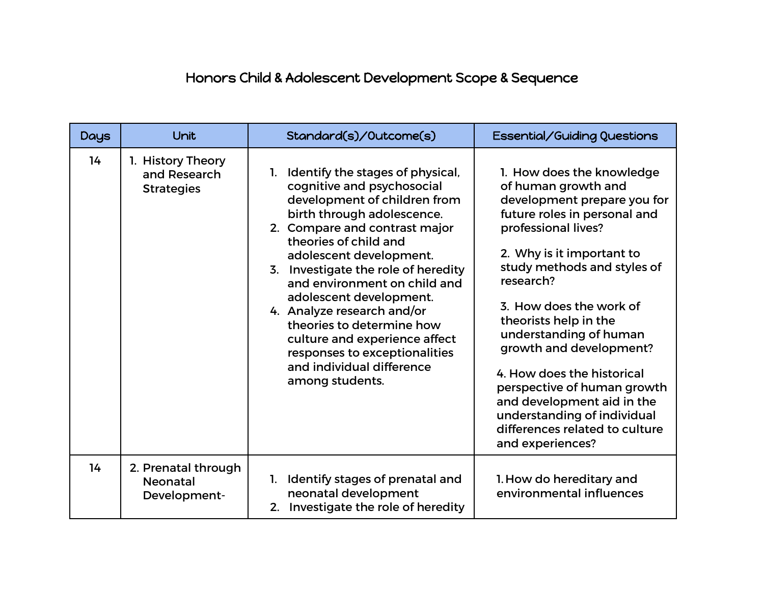## Honors Child & Adolescent Development Scope & Sequence

| <b>Days</b> | Unit                                                   | Standard(s)/Outcome(s)                                                                                                                                                                                                                                                                                                                                                                                                                                                                              | Essential/Guiding Questions                                                                                                                                                                                                                                                                                                                                                                                                                                                                              |
|-------------|--------------------------------------------------------|-----------------------------------------------------------------------------------------------------------------------------------------------------------------------------------------------------------------------------------------------------------------------------------------------------------------------------------------------------------------------------------------------------------------------------------------------------------------------------------------------------|----------------------------------------------------------------------------------------------------------------------------------------------------------------------------------------------------------------------------------------------------------------------------------------------------------------------------------------------------------------------------------------------------------------------------------------------------------------------------------------------------------|
| 14          | 1. History Theory<br>and Research<br><b>Strategies</b> | 1. Identify the stages of physical,<br>cognitive and psychosocial<br>development of children from<br>birth through adolescence.<br>2. Compare and contrast major<br>theories of child and<br>adolescent development.<br>3. Investigate the role of heredity<br>and environment on child and<br>adolescent development.<br>4. Analyze research and/or<br>theories to determine how<br>culture and experience affect<br>responses to exceptionalities<br>and individual difference<br>among students. | 1. How does the knowledge<br>of human growth and<br>development prepare you for<br>future roles in personal and<br>professional lives?<br>2. Why is it important to<br>study methods and styles of<br>research?<br>3. How does the work of<br>theorists help in the<br>understanding of human<br>growth and development?<br>4. How does the historical<br>perspective of human growth<br>and development aid in the<br>understanding of individual<br>differences related to culture<br>and experiences? |
| 14          | 2. Prenatal through<br><b>Neonatal</b><br>Development- | Identify stages of prenatal and<br>1.<br>neonatal development<br>2. Investigate the role of heredity                                                                                                                                                                                                                                                                                                                                                                                                | 1. How do hereditary and<br>environmental influences                                                                                                                                                                                                                                                                                                                                                                                                                                                     |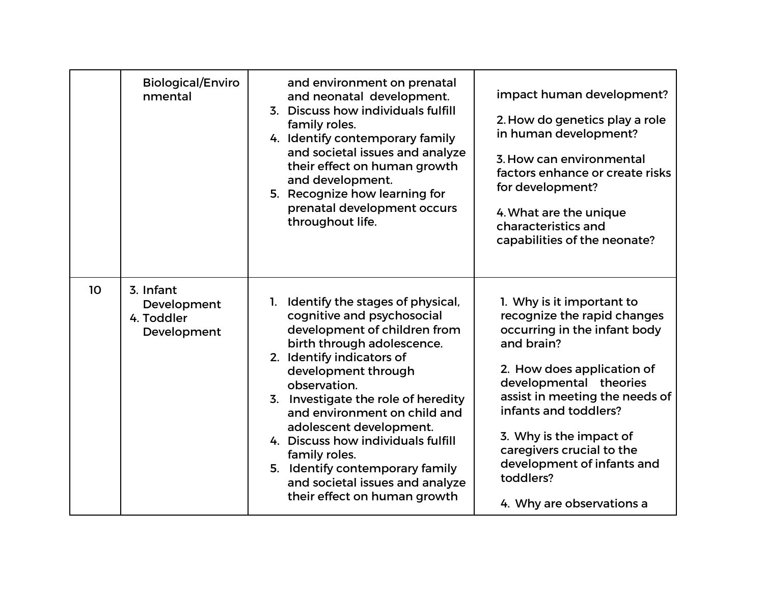|                 | <b>Biological/Enviro</b><br>nmental                   | and environment on prenatal<br>and neonatal development.<br>3. Discuss how individuals fulfill<br>family roles.<br>4. Identify contemporary family<br>and societal issues and analyze<br>their effect on human growth<br>and development.<br>5. Recognize how learning for<br>prenatal development occurs<br>throughout life.                                                                                                                                         | impact human development?<br>2. How do genetics play a role<br>in human development?<br>3. How can environmental<br>factors enhance or create risks<br>for development?<br>4. What are the unique<br>characteristics and<br>capabilities of the neonate?                                                                                                  |
|-----------------|-------------------------------------------------------|-----------------------------------------------------------------------------------------------------------------------------------------------------------------------------------------------------------------------------------------------------------------------------------------------------------------------------------------------------------------------------------------------------------------------------------------------------------------------|-----------------------------------------------------------------------------------------------------------------------------------------------------------------------------------------------------------------------------------------------------------------------------------------------------------------------------------------------------------|
| 10 <sup>°</sup> | 3. Infant<br>Development<br>4. Toddler<br>Development | Identify the stages of physical,<br>1.<br>cognitive and psychosocial<br>development of children from<br>birth through adolescence.<br>2. Identify indicators of<br>development through<br>observation.<br>3. Investigate the role of heredity<br>and environment on child and<br>adolescent development.<br>4. Discuss how individuals fulfill<br>family roles.<br>5. Identify contemporary family<br>and societal issues and analyze<br>their effect on human growth | 1. Why is it important to<br>recognize the rapid changes<br>occurring in the infant body<br>and brain?<br>2. How does application of<br>developmental theories<br>assist in meeting the needs of<br>infants and toddlers?<br>3. Why is the impact of<br>caregivers crucial to the<br>development of infants and<br>toddlers?<br>4. Why are observations a |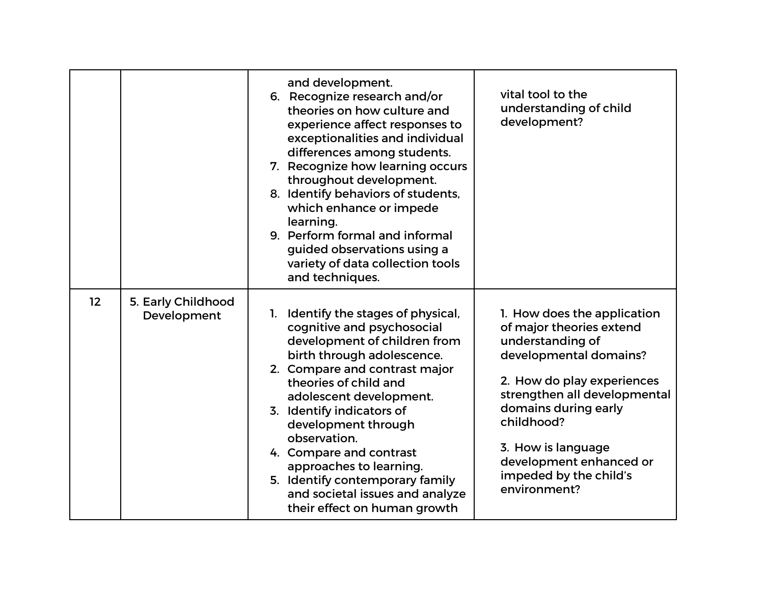|    |                                   | and development.<br>6. Recognize research and/or<br>theories on how culture and<br>experience affect responses to<br>exceptionalities and individual<br>differences among students.<br>7. Recognize how learning occurs                                                                                                                                                                                                                                 | vital tool to the<br>understanding of child<br>development?                                                                                                                                                                                                                                          |
|----|-----------------------------------|---------------------------------------------------------------------------------------------------------------------------------------------------------------------------------------------------------------------------------------------------------------------------------------------------------------------------------------------------------------------------------------------------------------------------------------------------------|------------------------------------------------------------------------------------------------------------------------------------------------------------------------------------------------------------------------------------------------------------------------------------------------------|
|    |                                   | throughout development.<br>8. Identify behaviors of students,<br>which enhance or impede<br>learning.<br>9. Perform formal and informal<br>guided observations using a<br>variety of data collection tools<br>and techniques.                                                                                                                                                                                                                           |                                                                                                                                                                                                                                                                                                      |
| 12 | 5. Early Childhood<br>Development | Identify the stages of physical,<br>1.<br>cognitive and psychosocial<br>development of children from<br>birth through adolescence.<br>2. Compare and contrast major<br>theories of child and<br>adolescent development.<br>3. Identify indicators of<br>development through<br>observation.<br>4. Compare and contrast<br>approaches to learning.<br>5. Identify contemporary family<br>and societal issues and analyze<br>their effect on human growth | 1. How does the application<br>of major theories extend<br>understanding of<br>developmental domains?<br>2. How do play experiences<br>strengthen all developmental<br>domains during early<br>childhood?<br>3. How is language<br>development enhanced or<br>impeded by the child's<br>environment? |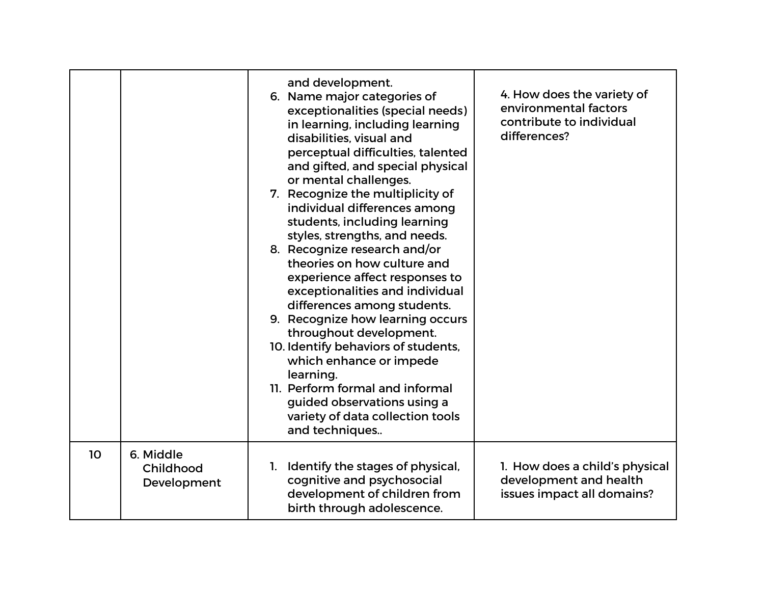|    |                                       | and development.<br>6. Name major categories of<br>exceptionalities (special needs)<br>in learning, including learning<br>disabilities, visual and<br>perceptual difficulties, talented<br>and gifted, and special physical<br>or mental challenges.<br>7. Recognize the multiplicity of<br>individual differences among<br>students, including learning<br>styles, strengths, and needs.<br>8. Recognize research and/or<br>theories on how culture and<br>experience affect responses to<br>exceptionalities and individual<br>differences among students.<br>9. Recognize how learning occurs<br>throughout development.<br>10. Identify behaviors of students,<br>which enhance or impede<br>learning.<br>11. Perform formal and informal<br>guided observations using a<br>variety of data collection tools<br>and techniques | 4. How does the variety of<br>environmental factors<br>contribute to individual<br>differences? |
|----|---------------------------------------|------------------------------------------------------------------------------------------------------------------------------------------------------------------------------------------------------------------------------------------------------------------------------------------------------------------------------------------------------------------------------------------------------------------------------------------------------------------------------------------------------------------------------------------------------------------------------------------------------------------------------------------------------------------------------------------------------------------------------------------------------------------------------------------------------------------------------------|-------------------------------------------------------------------------------------------------|
| 10 | 6. Middle<br>Childhood<br>Development | Identify the stages of physical,<br>1.<br>cognitive and psychosocial<br>development of children from<br>birth through adolescence.                                                                                                                                                                                                                                                                                                                                                                                                                                                                                                                                                                                                                                                                                                 | 1. How does a child's physical<br>development and health<br>issues impact all domains?          |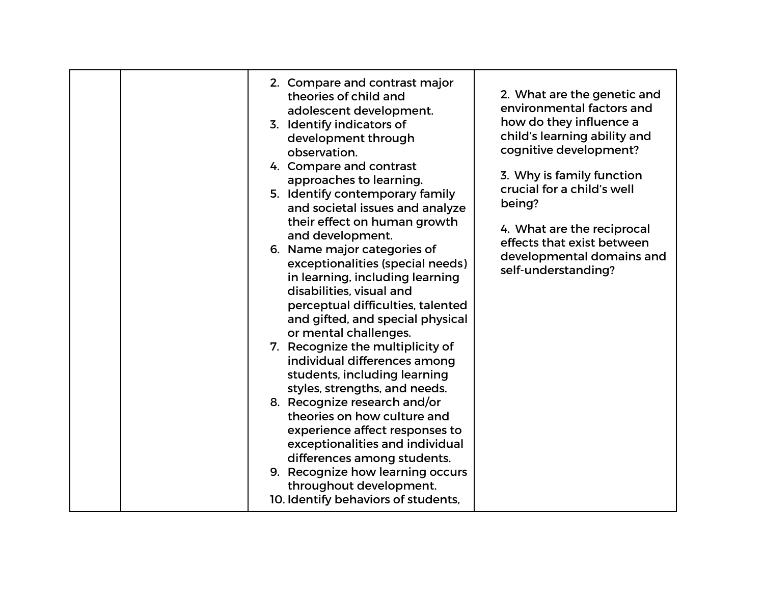| 2. Compare and contrast major<br>theories of child and<br>adolescent development.<br>3. Identify indicators of<br>development through<br>observation.<br>4. Compare and contrast<br>approaches to learning.<br>5. Identify contemporary family<br>and societal issues and analyze<br>their effect on human growth<br>and development.<br>6. Name major categories of<br>exceptionalities (special needs)<br>in learning, including learning<br>disabilities, visual and<br>perceptual difficulties, talented<br>and gifted, and special physical<br>or mental challenges.<br>7. Recognize the multiplicity of<br>individual differences among<br>students, including learning<br>styles, strengths, and needs.<br>8. Recognize research and/or<br>theories on how culture and<br>experience affect responses to<br>exceptionalities and individual<br>differences among students.<br>9. Recognize how learning occurs<br>throughout development.<br>10. Identify behaviors of students, | 2. What are the genetic and<br>environmental factors and<br>how do they influence a<br>child's learning ability and<br>cognitive development?<br>3. Why is family function<br>crucial for a child's well<br>being?<br>4. What are the reciprocal<br>effects that exist between<br>developmental domains and<br>self-understanding? |
|-----------------------------------------------------------------------------------------------------------------------------------------------------------------------------------------------------------------------------------------------------------------------------------------------------------------------------------------------------------------------------------------------------------------------------------------------------------------------------------------------------------------------------------------------------------------------------------------------------------------------------------------------------------------------------------------------------------------------------------------------------------------------------------------------------------------------------------------------------------------------------------------------------------------------------------------------------------------------------------------|------------------------------------------------------------------------------------------------------------------------------------------------------------------------------------------------------------------------------------------------------------------------------------------------------------------------------------|
|-----------------------------------------------------------------------------------------------------------------------------------------------------------------------------------------------------------------------------------------------------------------------------------------------------------------------------------------------------------------------------------------------------------------------------------------------------------------------------------------------------------------------------------------------------------------------------------------------------------------------------------------------------------------------------------------------------------------------------------------------------------------------------------------------------------------------------------------------------------------------------------------------------------------------------------------------------------------------------------------|------------------------------------------------------------------------------------------------------------------------------------------------------------------------------------------------------------------------------------------------------------------------------------------------------------------------------------|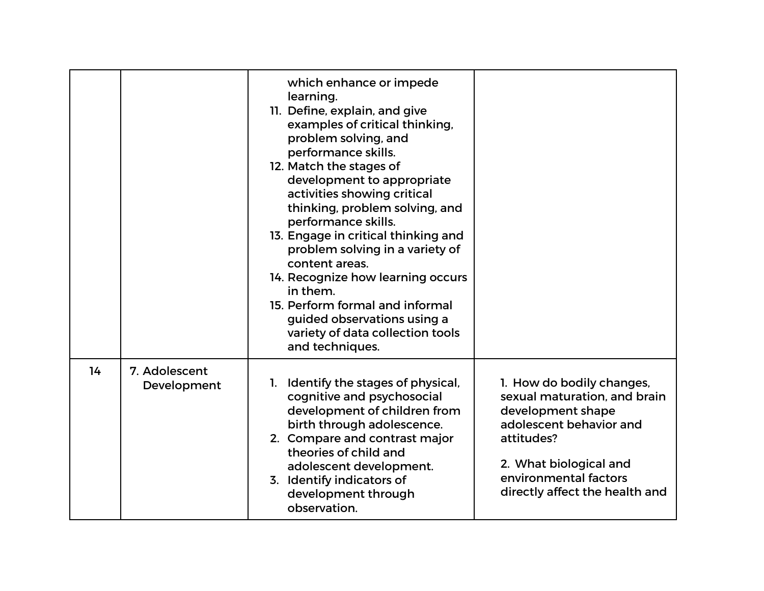|    |                              | which enhance or impede<br>learning.<br>11. Define, explain, and give<br>examples of critical thinking,<br>problem solving, and<br>performance skills.<br>12. Match the stages of<br>development to appropriate<br>activities showing critical<br>thinking, problem solving, and<br>performance skills.<br>13. Engage in critical thinking and<br>problem solving in a variety of<br>content areas.<br>14. Recognize how learning occurs<br>in them.<br>15. Perform formal and informal<br>guided observations using a<br>variety of data collection tools<br>and techniques. |                                                                                                                                                                                                              |
|----|------------------------------|-------------------------------------------------------------------------------------------------------------------------------------------------------------------------------------------------------------------------------------------------------------------------------------------------------------------------------------------------------------------------------------------------------------------------------------------------------------------------------------------------------------------------------------------------------------------------------|--------------------------------------------------------------------------------------------------------------------------------------------------------------------------------------------------------------|
| 14 | 7. Adolescent<br>Development | Identify the stages of physical,<br>1.<br>cognitive and psychosocial<br>development of children from<br>birth through adolescence.<br>2. Compare and contrast major<br>theories of child and<br>adolescent development.<br>3. Identify indicators of<br>development through<br>observation.                                                                                                                                                                                                                                                                                   | 1. How do bodily changes,<br>sexual maturation, and brain<br>development shape<br>adolescent behavior and<br>attitudes?<br>2. What biological and<br>environmental factors<br>directly affect the health and |